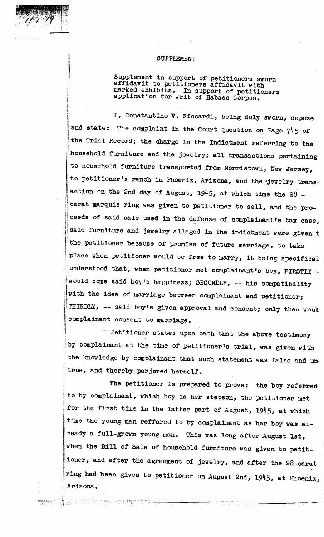## SUPPLEMENT

Supplement in support of petitioners sworn affidavit to petitioners affidavit with marked exhibits. In support of petitioners application for Writ of Habaes Corpus.

I, Constantino V. Riccardi, being duly sworn, depose and state: The complaint in the Court question on Page 745 of the Trial Record; the charge in the Indictment referring to the household furniture and the jewelry; all transactions pertaining to household furniture transported from Morristown, New Jersey, to petitioner's ranch in Phoenix, Arizona, and the jewelry transaction on the 2nd day of August, 1945, at which time the 28 carat marquis ring was given to petitioner to sell, and the proceeds of said sale used in the defense of complainant's tax case, said furniture and jewelry alleged in the indictment were given <sup>t</sup> the petitioner because of promise of future marriage, to take place when petitioner would be free to marry, it being specifical understood that, when petitioner met complainant's boy, FIRSTLY would come said boy's happiness; SECONDLY, -- his compatibility with the idea of marriage between complainant and petitioner; THIRDLY, -- said boy's given approval and consent; only then woul : complainant consent to marriage.

||

 $\P$   $\rightarrow$   $\rightarrow$   $\rightarrow$ 

line and the company of . Petitioner states upon oath that the above testimony by complainant at the time of petitioner's trial, was given with the knowledge by complainant that such statement was false and un, true, and thereby perjured herself.

The petitioner is prepared to prove: the boy referred to by complainant, which boy is her stepson, the petitioner met for the first time in the latter part of August, 1945, at which time the young man reffered to by complainant as her boy was already a full-grown young man. This was long after August 1st, when the Bill of Sale of household furniture was given to petitioner, and after the agreement of jewelry, and after the 28-carat ring had been given to petitioner on August 2nd,  $1945$ , at Phoenix, Arizona.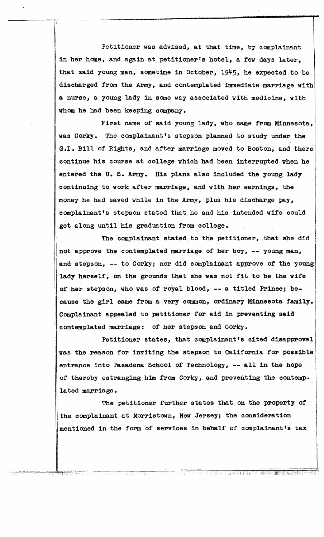Petitioner was advised, at that time, by complainant in her home, and again at petitioner's hotel, a few days later, that said young man, sometime in October, 1945, he expected to be discharged from the Army, and contemplated immediate marriage with I a nurse, a young lady in some way associated with medicine, with whom he had been keeping company.  $\vert$ I

C'r"-~- -----------.-...

First name of said young lady, who came from Minnesota, was Corky. The complainant's stepson planned to study under the  $\|$ G.I. Bill of Rights, and after marriage moved to Boston, and there continue his course at college which had been interrupted when he  $\overline{\phantom{a}}$ entered the U.S. Army. His plans also included the young lady continuing to work after marriage, and with her earnings, the i<br>I<br>I<br>I<br>I<br>I I money he had saved while in the Army, plus his discharge pay, complainant's stepson stated that he and his intended wife could I get along until his graduation from college.

The complainant stated to the petitioner, that she did not approve the contemplated marriage of her boy, -- young man, and stepson, -- to Corky; nor did complainant approve of the young lady herself, on the grounds that she was not fit to be the wife of her stepson, who was of royal blood, -- a titled Prince; because the girl came from a very common, ordinary Minnesota family. Complainant appealed to petitioner for aid in preventing said  $\overline{\phantom{a}}$ contemplated marriage: of her stepson and Corky.

Petitioner states, that complainant's cited disapproval was the reason for inviting the stepson to California for possible entrance into Pasadena School of Technology, -- all in the hope of thereby estranging him from Corky, and preventing the contemplated marriage.

The petitioner further states that on the property of the complainant at Morristown, New Jersey; the consideration mentioned in the form of services in behalf of complainant's tax

la de la componenta de la componenta de la componenta de la componenta de la componenta de la componenta de la<br>La componenta de la componenta de la componenta de la componenta de la componenta de la componenta de la compo

TURIS EN SERIES NAM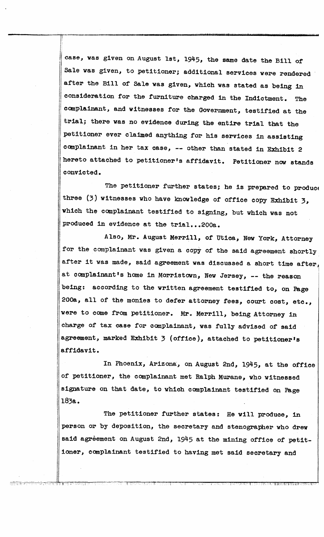case, was given on August 1st, 1945, the same date the Bill of Sale was given, to petitioner; additional services were rendered after the Bill of Sale was given, which was stated as being 1n consideration for the furniture charged in the Indictment. The complainant, and witnesses for the Government, testified at the trial; there was no evidence during the entire trial that the ,petitioner ever clatmed anything for his services in assisting complainant in her tax case, -- other than stated in Exhibit 2 hereto attached to petitioner's affidavit. Petitioner now stands I convicted.

l.<br>.<br>.<br>.

The petitioner further states; he is prepared to produce three (3) witnesses who have knowledge of office copy Exhibit 3, which the complainant testified to signing, but which was not produced in evidence at the  $triab$ ...200a.

Also, Mr. August Merrill, of Utica, New York, Attorney for the complainant was given a copy of the said agreement shortly after it was made, said agreement was discussed a short time after, ! at complainant's home in Morristown, New Jersey, -- the reason being: according to the written agreement testified to, on Page 200a, all of the monies to defer attorney fees, court cost, etc., were to come from petitioner. Mr. Merrill, being Attorney in charge of tax case for complainant, was fully advised of said agreement, marked Exhibit 3 (office), attached to petitioner's affidavit. i.

In Phoenix, Arizona, on August 2nd, 1945, at the office of petitioner, the complainant met Ralph Murane, who witnessed signature on that date, to which complainant testified on Page l83a.

The petitioner further states: He will produce, in person or by deposition, the secretary and stenographer who drew said agreement on August 2nd, 1945 at the mining office of petitioner, complainant testified to having met said secretary and

 $\mathbb{C} \mathfrak{C}_1 \cong \mathbb{C} \mathfrak{C}_1$ 

,  $y$  ,  $y$  ,  $\rightarrow$   $z$  ,  $y$  ,  $z$  ,  $z$  ,  $z$  ,  $z$  ,  $z$ 

I

,!